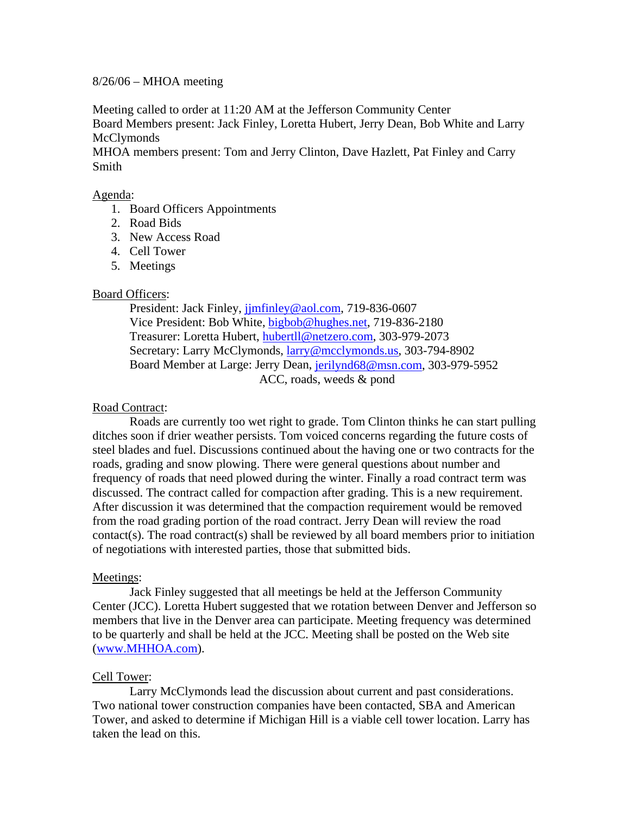### 8/26/06 – MHOA meeting

Meeting called to order at 11:20 AM at the Jefferson Community Center Board Members present: Jack Finley, Loretta Hubert, Jerry Dean, Bob White and Larry **McClymonds** 

MHOA members present: Tom and Jerry Clinton, Dave Hazlett, Pat Finley and Carry Smith

#### Agenda:

- 1. Board Officers Appointments
- 2. Road Bids
- 3. New Access Road
- 4. Cell Tower
- 5. Meetings

### Board Officers:

 President: Jack Finley, [jjmfinley@aol.com](mailto:jjmfinley@aol.com), 719-836-0607 Vice President: Bob White, [bigbob@hughes.net](mailto:bigbob@hughes.net), 719-836-2180 Treasurer: Loretta Hubert, [hubertll@netzero.com,](mailto:hubertll@netzero.com) 303-979-2073 Secretary: Larry McClymonds, [larry@mcclymonds.us](mailto:larry@mcclymonds.us), 303-794-8902 Board Member at Large: Jerry Dean, [jerilynd68@msn.com](mailto:jerilynd68@msn.com), 303-979-5952 ACC, roads, weeds & pond

#### Road Contract:

 Roads are currently too wet right to grade. Tom Clinton thinks he can start pulling ditches soon if drier weather persists. Tom voiced concerns regarding the future costs of steel blades and fuel. Discussions continued about the having one or two contracts for the roads, grading and snow plowing. There were general questions about number and frequency of roads that need plowed during the winter. Finally a road contract term was discussed. The contract called for compaction after grading. This is a new requirement. After discussion it was determined that the compaction requirement would be removed from the road grading portion of the road contract. Jerry Dean will review the road contact(s). The road contract(s) shall be reviewed by all board members prior to initiation of negotiations with interested parties, those that submitted bids.

# Meetings:

Jack Finley suggested that all meetings be held at the Jefferson Community Center (JCC). Loretta Hubert suggested that we rotation between Denver and Jefferson so members that live in the Denver area can participate. Meeting frequency was determined to be quarterly and shall be held at the JCC. Meeting shall be posted on the Web site ([www.MHHOA.com\)](http://www.mhhoa.com/).

# Cell Tower:

Larry McClymonds lead the discussion about current and past considerations. Two national tower construction companies have been contacted, SBA and American Tower, and asked to determine if Michigan Hill is a viable cell tower location. Larry has taken the lead on this.